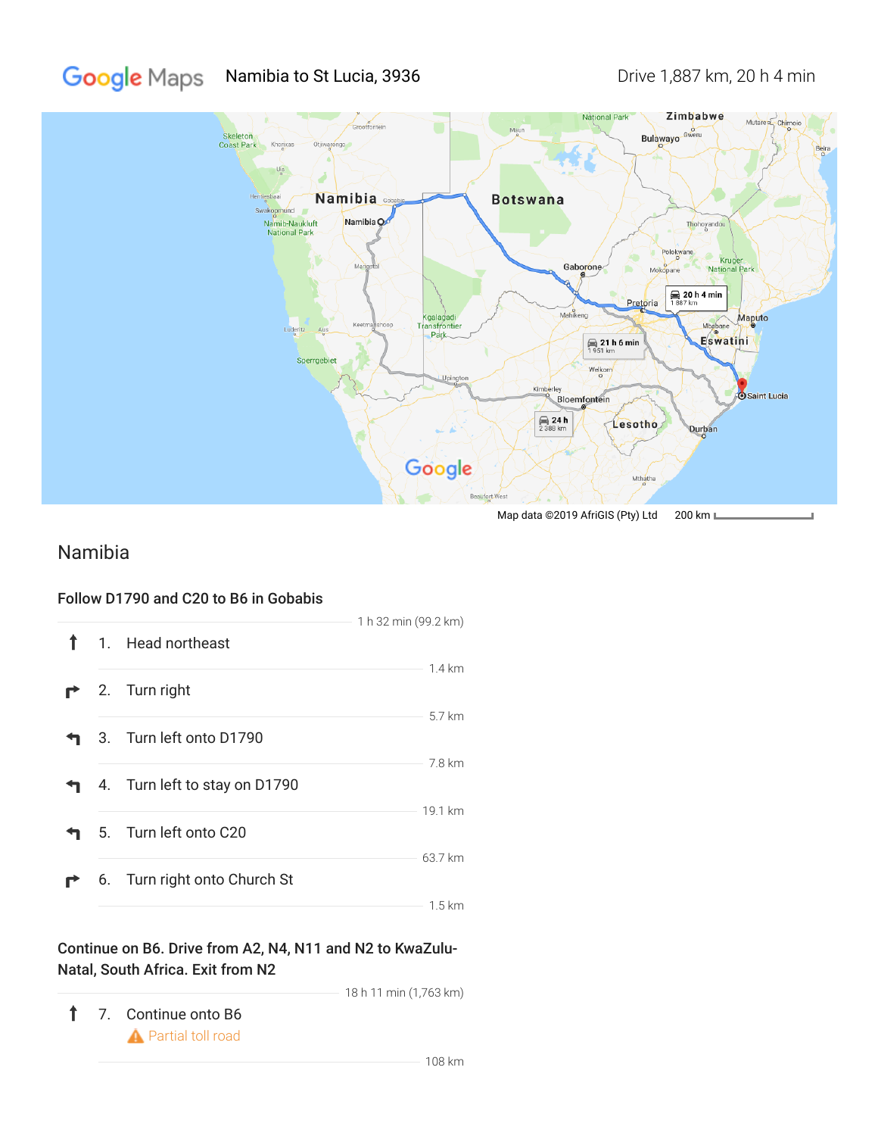#### **Google** Maps Namibia to St Lucia, 3936 Drive 1,887 km, 20 h 4 min



Map data ©2019 AfriGIS (Pty) Ltd 200 km L

# Namibia

### Follow D1790 and C20 to B6 in Gobabis

|  |                               | 1 h 32 min (99.2 km) |
|--|-------------------------------|----------------------|
|  | 1. Head northeast             |                      |
|  | 2. Turn right                 | $1.4 \mathrm{km}$    |
|  | 3. Turn left onto D1790       | 5.7 km               |
|  | 4. Turn left to stay on D1790 | 7.8 km               |
|  | 5. Turn left onto C20         | 19.1 km              |
|  | 6. Turn right onto Church St  | 63.7 km              |
|  |                               | $1.5 \mathrm{km}$    |

## Continue on B6. Drive from A2, N4, N11 and N2 to KwaZulu-Natal, South Africa. Exit from N2

18 h 11 min (1,763 km)

 $\uparrow$ 7. Continue onto B6 **A** Partial toll road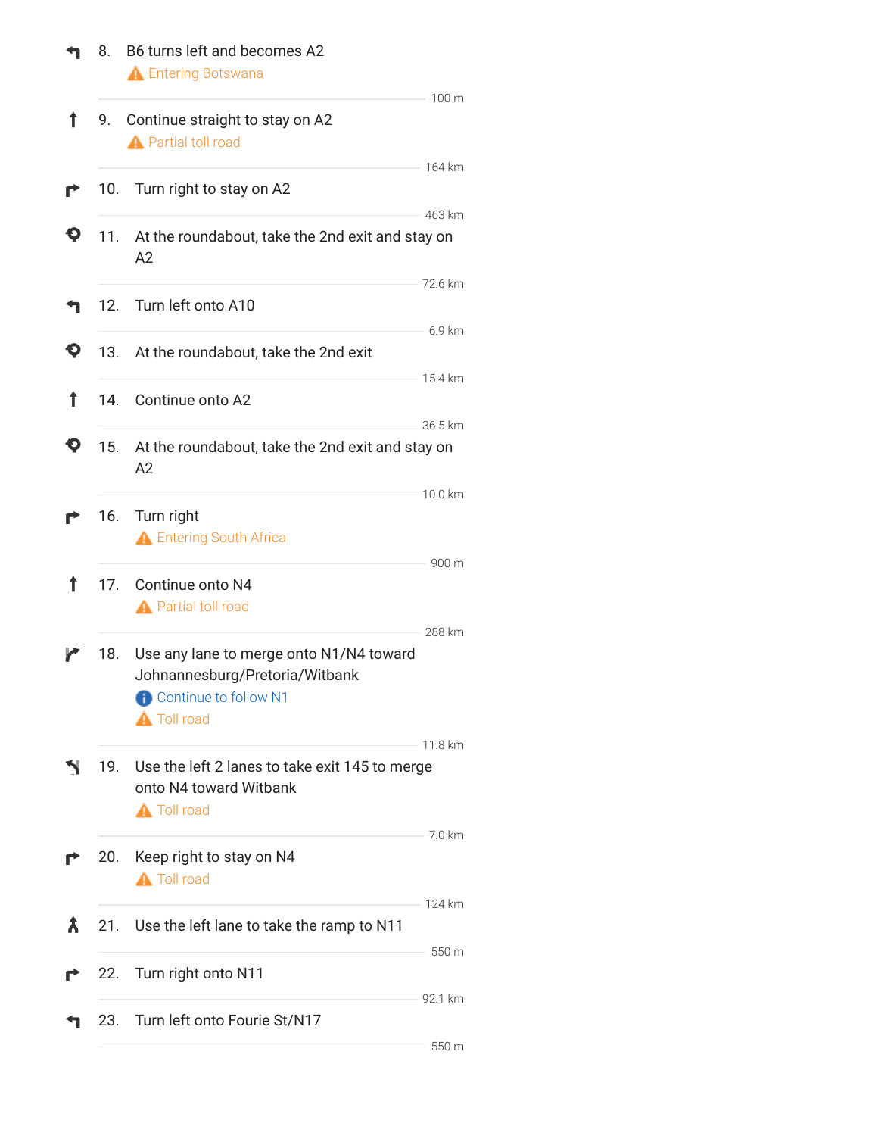|   | 8.  | B6 turns left and becomes A2<br><b>A</b> Entering Botswana                                                                      |                    |
|---|-----|---------------------------------------------------------------------------------------------------------------------------------|--------------------|
| Ť | 9.  | Continue straight to stay on A2<br><b>A</b> Partial toll road                                                                   | 100 m              |
|   | 10. | Turn right to stay on A2                                                                                                        | 164 km<br>463 km   |
|   | 11. | At the roundabout, take the 2nd exit and stay on<br>A2                                                                          |                    |
|   | 12. | Turn left onto A10                                                                                                              | 72.6 km            |
|   | 13. | At the roundabout, take the 2nd exit                                                                                            | 6.9 km             |
| Ť | 14. | Continue onto A2                                                                                                                | 15.4 km<br>36.5 km |
|   | 15. | At the roundabout, take the 2nd exit and stay on<br>A2                                                                          |                    |
|   | 16. | Turn right<br><b>A</b> Entering South Africa                                                                                    | 10.0 km            |
| ↑ | 17. | Continue onto N4<br><b>A</b> Partial toll road                                                                                  | 900 m              |
|   | 18. | Use any lane to merge onto N1/N4 toward<br>Johnannesburg/Pretoria/Witbank<br><b>Continue to follow N1</b><br><b>A</b> Toll road | 288 km             |
|   | 19. | Use the left 2 lanes to take exit 145 to merge<br>onto N4 toward Witbank<br><b>A</b> Toll road                                  | 11.8 km            |
|   | 20. | Keep right to stay on N4<br><b>A</b> Toll road                                                                                  | 7.0 km             |
| ѫ | 21. | Use the left lane to take the ramp to N11                                                                                       | 124 km             |
|   | 22. | Turn right onto N11                                                                                                             | 550 m              |
|   | 23. | Turn left onto Fourie St/N17                                                                                                    | 92.1 km            |
|   |     |                                                                                                                                 | 550 m              |